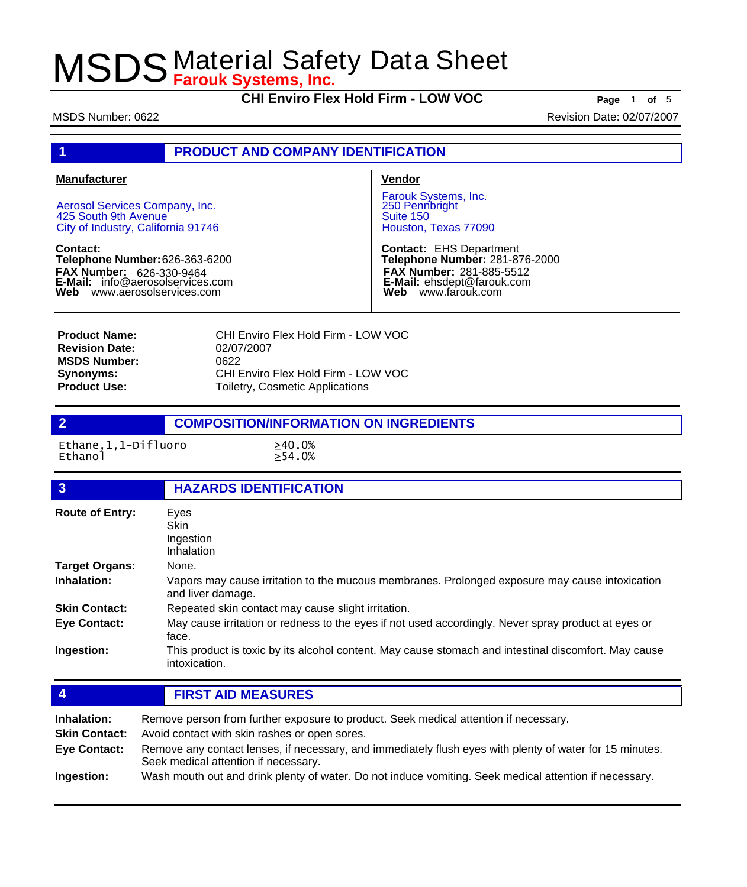**CHI Enviro Flex Hold Firm - LOW VOC Page** <sup>1</sup> **of** <sup>5</sup>

MSDS Number: 0622 **Revision Date: 02/07/2007** 

### **1 PRODUCT AND COMPANY IDENTIFICATION**

#### **Manufacturer**

Aerosol Services Company, Inc. 425 South 9th Avenue City of Industry, California 91746

**Contact: Telephone Number:** 626-363-6200 **FAX Number: FAX Number:** 626-330-9464<br>**E-Mail:** info@aerosolservices.com **Web** www.aerosolservices.com

**Vendor**

Farouk Systems, Inc. 250 Pennbright Suite 150 Houston, Texas 77090

**Contact:** EHS Department **Telephone Number:** 281-876-2000 **FAX Number:** 281-885-5512 **E-Mail:** ehsdept@farouk.com **Web** www.farouk.com

CHI Enviro Flex Hold Firm - LOW VOC 02/07/2007 0622 CHI Enviro Flex Hold Firm - LOW VOC Toiletry, Cosmetic Applications **Product Name: Revision Date: MSDS Number: Synonyms: Product Use:**

### **2 COMPOSITION/INFORMATION ON INGREDIENTS**

Ethane,1,1-Difluoro ≥40.0%

 $\geq 54.0%$ 

| $\overline{3}$         | <b>HAZARDS IDENTIFICATION</b>                                                                                                                    |
|------------------------|--------------------------------------------------------------------------------------------------------------------------------------------------|
| <b>Route of Entry:</b> | Eyes                                                                                                                                             |
|                        | Skin                                                                                                                                             |
|                        | Ingestion                                                                                                                                        |
|                        | Inhalation                                                                                                                                       |
| <b>Target Organs:</b>  | None.                                                                                                                                            |
| Inhalation:            | Vapors may cause irritation to the mucous membranes. Prolonged exposure may cause intoxication<br>and liver damage.                              |
| <b>Skin Contact:</b>   | Repeated skin contact may cause slight irritation.                                                                                               |
| <b>Eye Contact:</b>    | May cause irritation or redness to the eyes if not used accordingly. Never spray product at eyes or<br>face.                                     |
| Ingestion:             | This product is toxic by its alcohol content. May cause stomach and intestinal discomfort. May cause<br>intoxication.                            |
|                        |                                                                                                                                                  |
| $\overline{4}$         | <b>FIRST AID MEASURES</b>                                                                                                                        |
| Inhalation:            | Remove person from further exposure to product. Seek medical attention if necessary.                                                             |
| <b>Skin Contact:</b>   | Avoid contact with skin rashes or open sores.                                                                                                    |
|                        |                                                                                                                                                  |
| <b>Eye Contact:</b>    | Remove any contact lenses, if necessary, and immediately flush eyes with plenty of water for 15 minutes.<br>Seek medical attention if necessary. |
|                        |                                                                                                                                                  |

**Ingestion:** Wash mouth out and drink plenty of water. Do not induce vomiting. Seek medical attention if necessary.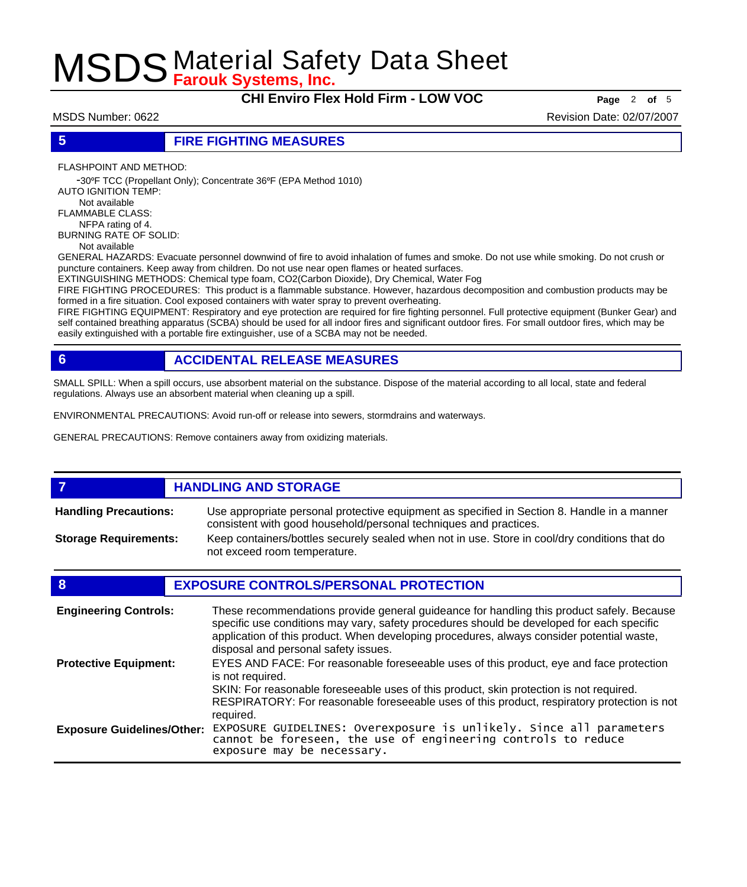**CHI Enviro Flex Hold Firm - LOW VOC Page** <sup>2</sup> **of** <sup>5</sup>

MSDS Number: 0622 **Revision Date: 02/07/2007** 

### **5 FIRE FIGHTING MEASURES**

FLASHPOINT AND METHOD:

 -30ºF TCC (Propellant Only); Concentrate 36ºF (EPA Method 1010) AUTO IGNITION TEMP: Not available FLAMMABLE CLASS:

 NFPA rating of 4. BURNING RATE OF SOLID:

Not available

GENERAL HAZARDS: Evacuate personnel downwind of fire to avoid inhalation of fumes and smoke. Do not use while smoking. Do not crush or puncture containers. Keep away from children. Do not use near open flames or heated surfaces.

EXTINGUISHING METHODS: Chemical type foam, CO2(Carbon Dioxide), Dry Chemical, Water Fog

FIRE FIGHTING PROCEDURES: This product is a flammable substance. However, hazardous decomposition and combustion products may be formed in a fire situation. Cool exposed containers with water spray to prevent overheating.

FIRE FIGHTING EQUIPMENT: Respiratory and eye protection are required for fire fighting personnel. Full protective equipment (Bunker Gear) and self contained breathing apparatus (SCBA) should be used for all indoor fires and significant outdoor fires. For small outdoor fires, which may be easily extinguished with a portable fire extinguisher, use of a SCBA may not be needed.

### **6 ACCIDENTAL RELEASE MEASURES**

SMALL SPILL: When a spill occurs, use absorbent material on the substance. Dispose of the material according to all local, state and federal regulations. Always use an absorbent material when cleaning up a spill.

ENVIRONMENTAL PRECAUTIONS: Avoid run-off or release into sewers, stormdrains and waterways.

GENERAL PRECAUTIONS: Remove containers away from oxidizing materials.

### *HANDLING AND STORAGE*

Use appropriate personal protective equipment as specified in Section 8. Handle in a manner consistent with good household/personal techniques and practices. **Handling Precautions:** Keep containers/bottles securely sealed when not in use. Store in cool/dry conditions that do **Storage Requirements:**

not exceed room temperature.

### **8 EXPOSURE CONTROLS/PERSONAL PROTECTION**

| <b>Engineering Controls:</b>      | These recommendations provide general guideance for handling this product safely. Because<br>specific use conditions may vary, safety procedures should be developed for each specific<br>application of this product. When developing procedures, always consider potential waste,<br>disposal and personal safety issues. |
|-----------------------------------|-----------------------------------------------------------------------------------------------------------------------------------------------------------------------------------------------------------------------------------------------------------------------------------------------------------------------------|
| <b>Protective Equipment:</b>      | EYES AND FACE: For reasonable foreseeable uses of this product, eye and face protection<br>is not required.<br>SKIN: For reasonable foreseeable uses of this product, skin protection is not required.<br>RESPIRATORY: For reasonable foreseeable uses of this product, respiratory protection is not<br>required.          |
| <b>Exposure Guidelines/Other:</b> | EXPOSURE GUIDELINES: Overexposure is unlikely. Since all parameters<br>cannot be foreseen, the use of engineering controls to reduce<br>exposure may be necessary.                                                                                                                                                          |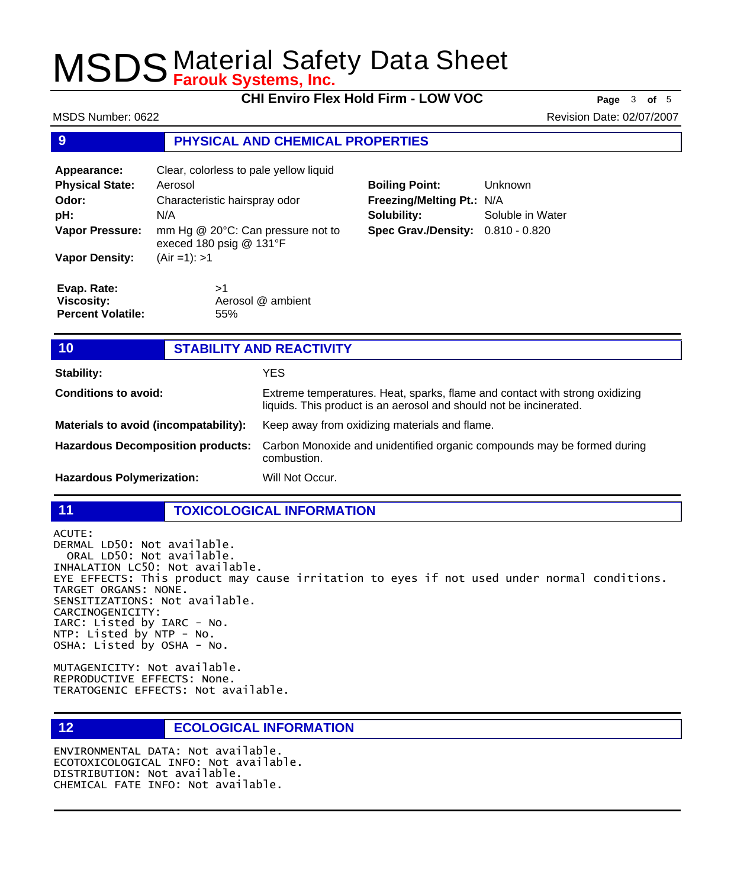**CHI Enviro Flex Hold Firm - LOW VOC Page** <sup>3</sup> **of** <sup>5</sup>

MSDS Number: 0622 **Revision Date: 02/07/2007** 

### **9 PHYSICAL AND CHEMICAL PROPERTIES**

| Appearance:<br><b>Physical State:</b><br>Odor:<br>pH:<br><b>Vapor Pressure:</b><br><b>Vapor Density:</b> | Clear, colorless to pale yellow liquid<br>Aerosol<br>Characteristic hairspray odor<br>N/A<br>mm Hg @ 20°C: Can pressure not to<br>execed 180 psig @ 131°F<br>$(Air = 1): > 1$ |
|----------------------------------------------------------------------------------------------------------|-------------------------------------------------------------------------------------------------------------------------------------------------------------------------------|
| Evap. Rate:                                                                                              | >1                                                                                                                                                                            |
| <b>Viscosity:</b>                                                                                        | Aerosol @ ambient                                                                                                                                                             |

55%

| <b>Boiling Point:</b>             | Unknown          |
|-----------------------------------|------------------|
| Freezing/Melting Pt.: N/A         |                  |
| Solubility:                       | Soluble in Water |
| Spec Grav./Density: 0.810 - 0.820 |                  |

**Percent Volatile:**

### **10 STABILITY AND REACTIVITY**

| Stability:                               | YES                                                                                                                                               |
|------------------------------------------|---------------------------------------------------------------------------------------------------------------------------------------------------|
| <b>Conditions to avoid:</b>              | Extreme temperatures. Heat, sparks, flame and contact with strong oxidizing<br>liquids. This product is an aerosol and should not be incinerated. |
| Materials to avoid (incompatability):    | Keep away from oxidizing materials and flame.                                                                                                     |
| <b>Hazardous Decomposition products:</b> | Carbon Monoxide and unidentified organic compounds may be formed during<br>combustion.                                                            |
| <b>Hazardous Polymerization:</b>         | Will Not Occur.                                                                                                                                   |

#### **11 TOXICOLOGICAL INFORMATION**

ACUTE: DERMAL LD50: Not available. ORAL LD50: Not available. INHALATION LC50: Not available. EYE EFFECTS: This product may cause irritation to eyes if not used under normal conditions. TARGET ORGANS: NONE. SENSITIZATIONS: Not available. CARCINOGENICITY: IARC: Listed by IARC - No. NTP: Listed by NTP - No. OSHA: Listed by OSHA - No.

MUTAGENICITY: Not available. REPRODUCTIVE EFFECTS: None. TERATOGENIC EFFECTS: Not available.

**12 ECOLOGICAL INFORMATION** 

ENVIRONMENTAL DATA: Not available. ECOTOXICOLOGICAL INFO: Not available. DISTRIBUTION: Not available. CHEMICAL FATE INFO: Not available.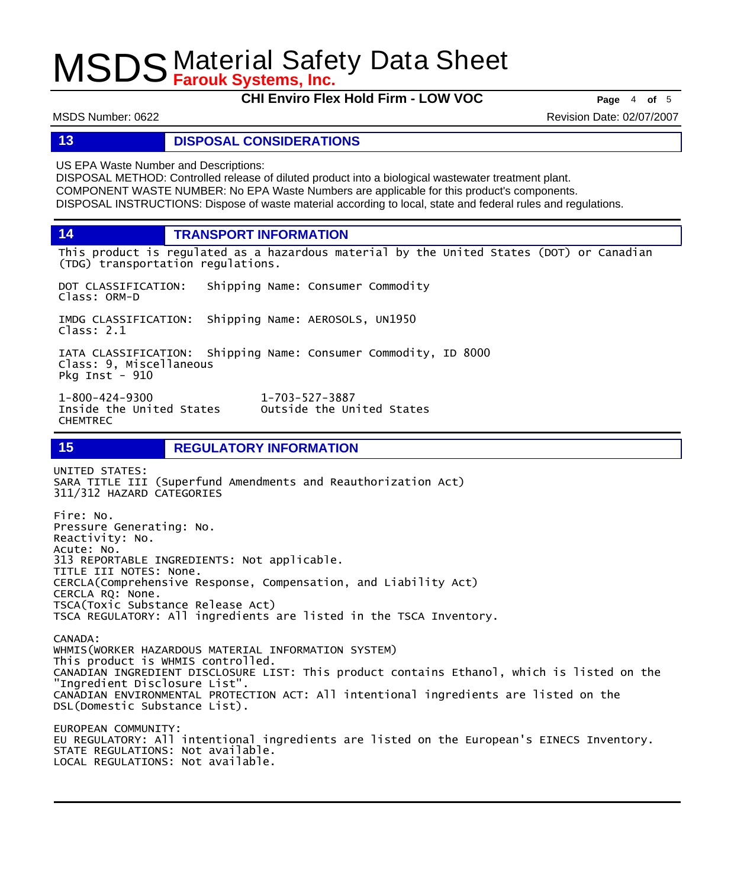**CHI Enviro Flex Hold Firm - LOW VOC Page** <sup>4</sup> **of** <sup>5</sup>

MSDS Number: 0622 **Revision Date: 02/07/2007** 

#### **13 DISPOSAL CONSIDERATIONS**

US EPA Waste Number and Descriptions:

DISPOSAL METHOD: Controlled release of diluted product into a biological wastewater treatment plant. COMPONENT WASTE NUMBER: No EPA Waste Numbers are applicable for this product's components. DISPOSAL INSTRUCTIONS: Dispose of waste material according to local, state and federal rules and regulations.

**14 TRANSPORT INFORMATION**

This product is regulated as a hazardous material by the United States (DOT) or Canadian (TDG) transportation regulations.

DOT CLASSIFICATION: Shipping Name: Consumer Commodity Class: ORM-D

IMDG CLASSIFICATION: Shipping Name: AEROSOLS, UN1950 Class: 2.1

IATA CLASSIFICATION: Shipping Name: Consumer Commodity, ID 8000 Class: 9, Miscellaneous Pkg Inst - 910

1-800-424-9300 1-703-527-3887 Inside the United States CHEMTREC

**15 REGULATORY INFORMATION**

UNITED STATES: SARA TITLE III (Superfund Amendments and Reauthorization Act) 311/312 HAZARD CATEGORIES Fire: No.

Pressure Generating: No. Reactivity: No. Acute: No. 313 REPORTABLE INGREDIENTS: Not applicable. TITLE III NOTES: None. CERCLA(Comprehensive Response, Compensation, and Liability Act) CERCLA RQ: None. TSCA(Toxic Substance Release Act) TSCA REGULATORY: All ingredients are listed in the TSCA Inventory.

CANADA: WHMIS(WORKER HAZARDOUS MATERIAL INFORMATION SYSTEM) This product is WHMIS controlled. CANADIAN INGREDIENT DISCLOSURE LIST: This product contains Ethanol, which is listed on the "Ingredient Disclosure List". CANADIAN ENVIRONMENTAL PROTECTION ACT: All intentional ingredients are listed on the DSL(Domestic Substance List).

EUROPEAN COMMUNITY: EU REGULATORY: All intentional ingredients are listed on the European's EINECS Inventory. STATE REGULATIONS: Not available. LOCAL REGULATIONS: Not available.